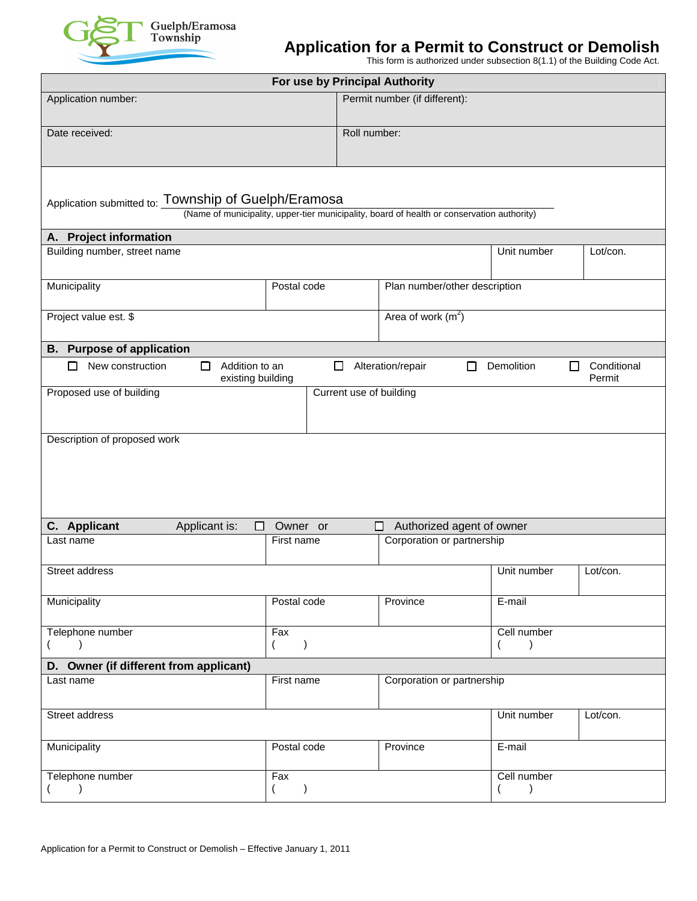

## **Application for a Permit to Construct or Demolish**

This form is authorized under subsection 8(1.1) of the Building Code Act.

|                                                                                                                                                    |                                               | For use by Principal Authority |                         |                                  |                              |                              |   |                       |  |  |  |  |  |
|----------------------------------------------------------------------------------------------------------------------------------------------------|-----------------------------------------------|--------------------------------|-------------------------|----------------------------------|------------------------------|------------------------------|---|-----------------------|--|--|--|--|--|
| Application number:                                                                                                                                |                                               |                                |                         | Permit number (if different):    |                              |                              |   |                       |  |  |  |  |  |
| Date received:                                                                                                                                     |                                               |                                |                         | Roll number:                     |                              |                              |   |                       |  |  |  |  |  |
| Application submitted to: Township of Guelph/Eramosa<br>(Name of municipality, upper-tier municipality, board of health or conservation authority) |                                               |                                |                         |                                  |                              |                              |   |                       |  |  |  |  |  |
| A. Project information                                                                                                                             |                                               |                                |                         |                                  |                              |                              |   |                       |  |  |  |  |  |
| Building number, street name                                                                                                                       |                                               |                                |                         |                                  |                              | Unit number                  |   | Lot/con.              |  |  |  |  |  |
| Municipality<br>Postal code                                                                                                                        |                                               |                                |                         | Plan number/other description    |                              |                              |   |                       |  |  |  |  |  |
| Project value est. \$                                                                                                                              |                                               |                                |                         | Area of work $(m2)$              |                              |                              |   |                       |  |  |  |  |  |
| <b>B.</b> Purpose of application                                                                                                                   |                                               |                                |                         |                                  |                              |                              |   |                       |  |  |  |  |  |
| New construction<br>□                                                                                                                              | Addition to an<br>П<br>□<br>existing building |                                |                         | Alteration/repair                | П                            | Demolition                   | П | Conditional<br>Permit |  |  |  |  |  |
| Proposed use of building                                                                                                                           |                                               |                                | Current use of building |                                  |                              |                              |   |                       |  |  |  |  |  |
| Description of proposed work                                                                                                                       |                                               |                                |                         |                                  |                              |                              |   |                       |  |  |  |  |  |
| C. Applicant                                                                                                                                       | Applicant is:<br>□<br>Owner or                |                                |                         | Authorized agent of owner<br>l I |                              |                              |   |                       |  |  |  |  |  |
| Last name                                                                                                                                          |                                               | First name                     |                         | Corporation or partnership       |                              |                              |   |                       |  |  |  |  |  |
| Street address                                                                                                                                     |                                               |                                |                         |                                  |                              | Unit number                  |   | Lot/con.              |  |  |  |  |  |
| Municipality                                                                                                                                       |                                               | Postal code                    |                         | Province                         |                              | E-mail                       |   |                       |  |  |  |  |  |
| Telephone number<br>Fax<br>$\left($<br>$\rightarrow$<br>$\lambda$                                                                                  |                                               |                                |                         |                                  |                              | Cell number<br>$\rightarrow$ |   |                       |  |  |  |  |  |
| D. Owner (if different from applicant)                                                                                                             |                                               |                                |                         |                                  |                              |                              |   |                       |  |  |  |  |  |
| First name<br>Last name                                                                                                                            |                                               |                                |                         | Corporation or partnership       |                              |                              |   |                       |  |  |  |  |  |
| Street address                                                                                                                                     |                                               |                                |                         |                                  |                              | Unit number                  |   | Lot/con.              |  |  |  |  |  |
| Municipality                                                                                                                                       |                                               | Postal code                    |                         | Province                         |                              | E-mail                       |   |                       |  |  |  |  |  |
| Telephone number<br>Fax<br>$\lambda$<br>$\lambda$                                                                                                  |                                               |                                |                         |                                  | Cell number<br>$\rightarrow$ |                              |   |                       |  |  |  |  |  |